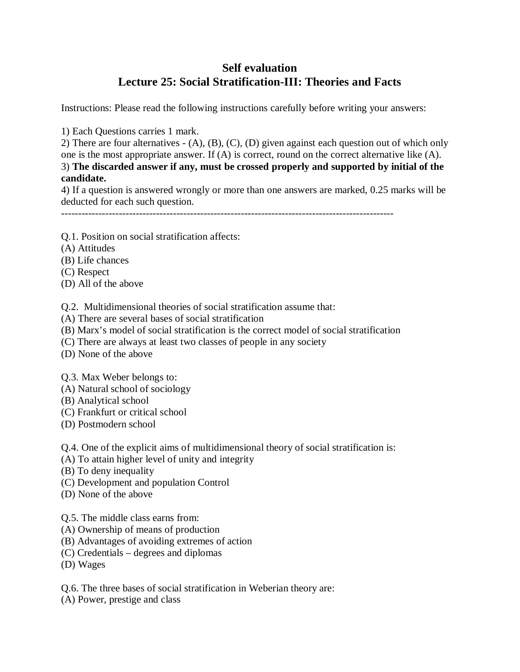## **Self evaluation Lecture 25: Social Stratification-III: Theories and Facts**

Instructions: Please read the following instructions carefully before writing your answers:

1) Each Questions carries 1 mark.

2) There are four alternatives - (A), (B), (C), (D) given against each question out of which only one is the most appropriate answer. If (A) is correct, round on the correct alternative like (A). 3) **The discarded answer if any, must be crossed properly and supported by initial of the candidate.**

4) If a question is answered wrongly or more than one answers are marked, 0.25 marks will be deducted for each such question.

--------------------------------------------------------------------------------------------------

- Q.1. Position on social stratification affects:
- (A) Attitudes
- (B) Life chances
- (C) Respect
- (D) All of the above

Q.2. Multidimensional theories of social stratification assume that:

- (A) There are several bases of social stratification
- (B) Marx's model of social stratification is the correct model of social stratification
- (C) There are always at least two classes of people in any society
- (D) None of the above
- Q.3. Max Weber belongs to:
- (A) Natural school of sociology
- (B) Analytical school
- (C) Frankfurt or critical school
- (D) Postmodern school

Q.4. One of the explicit aims of multidimensional theory of social stratification is:

- (A) To attain higher level of unity and integrity
- (B) To deny inequality
- (C) Development and population Control
- (D) None of the above

Q.5. The middle class earns from:

- (A) Ownership of means of production
- (B) Advantages of avoiding extremes of action
- (C) Credentials degrees and diplomas
- (D) Wages

Q.6. The three bases of social stratification in Weberian theory are:

(A) Power, prestige and class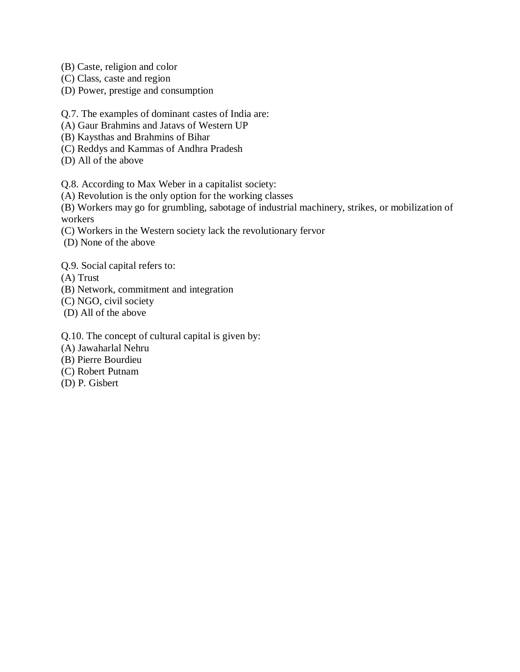- (B) Caste, religion and color
- (C) Class, caste and region
- (D) Power, prestige and consumption

Q.7. The examples of dominant castes of India are:

- (A) Gaur Brahmins and Jatavs of Western UP
- (B) Kaysthas and Brahmins of Bihar
- (C) Reddys and Kammas of Andhra Pradesh
- (D) All of the above

Q.8. According to Max Weber in a capitalist society:

(A) Revolution is the only option for the working classes

(B) Workers may go for grumbling, sabotage of industrial machinery, strikes, or mobilization of workers

- (C) Workers in the Western society lack the revolutionary fervor
- (D) None of the above

Q.9. Social capital refers to:

(A) Trust

- (B) Network, commitment and integration
- (C) NGO, civil society
- (D) All of the above

Q.10. The concept of cultural capital is given by:

- (A) Jawaharlal Nehru
- (B) Pierre Bourdieu
- (C) Robert Putnam
- (D) P. Gisbert